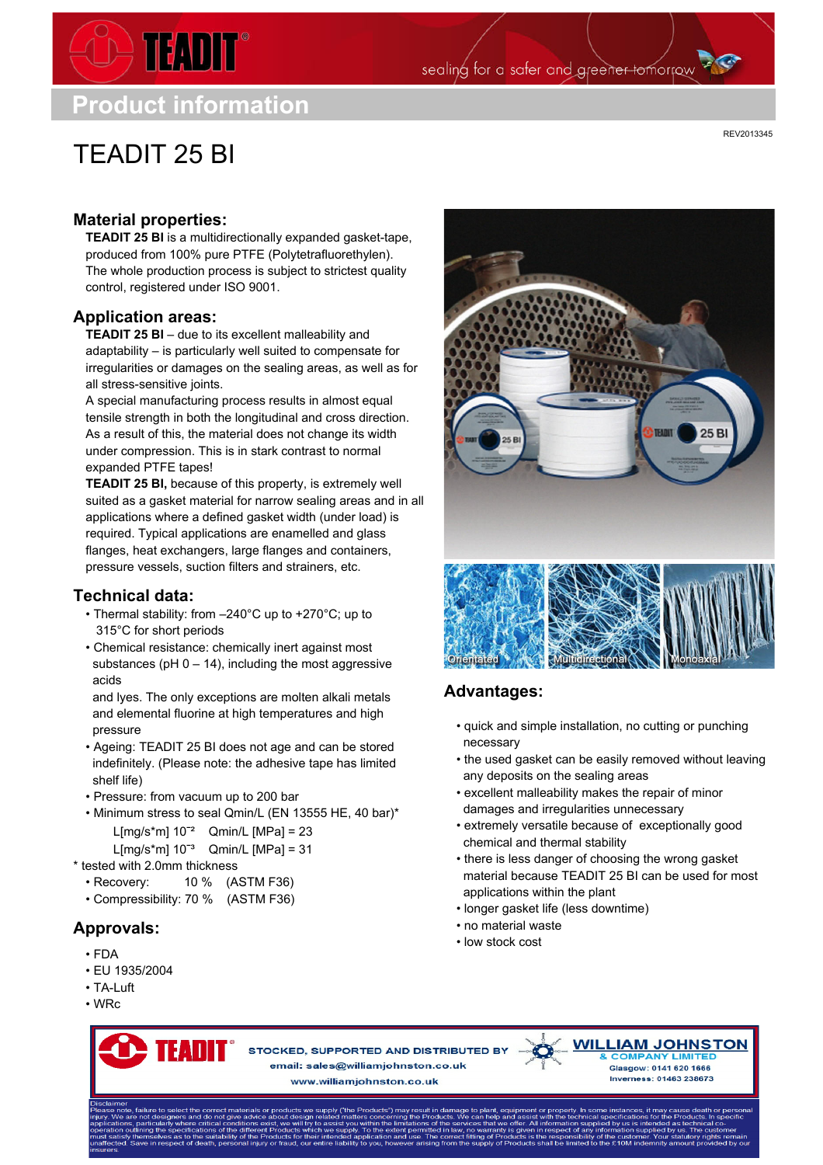## **Product information**

 $\rightarrow$  TEADIT

# TEADIT 25 BI

REV2013345

### **Material properties:**

**TEADIT 25 BI** is a multidirectionally expanded gasket-tape, produced from 100% pure PTFE (Polytetrafluorethylen). The whole production process is subject to strictest quality control, registered under ISO 9001.

#### **Application areas:**

**TEADIT 25 BI** – due to its excellent malleability and adaptability – is particularly well suited to compensate for irregularities or damages on the sealing areas, as well as for all stress-sensitive joints.

A special manufacturing process results in almost equal tensile strength in both the longitudinal and cross direction. As a result of this, the material does not change its width under compression. This is in stark contrast to normal expanded PTFE tapes!

**TEADIT 25 BI,** because of this property, is extremely well suited as a gasket material for narrow sealing areas and in all applications where a defined gasket width (under load) is required. Typical applications are enamelled and glass flanges, heat exchangers, large flanges and containers, pressure vessels, suction filters and strainers, etc.

#### **Technical data:**

- Thermal stability: from –240°C up to +270°C; up to 315°C for short periods
- Chemical resistance: chemically inert against most substances ( $pH$  0 – 14), including the most aggressive acids

and lyes. The only exceptions are molten alkali metals and elemental fluorine at high temperatures and high pressure

- Ageing: TEADIT 25 BI does not age and can be stored indefinitely. (Please note: the adhesive tape has limited shelf life)
- Pressure: from vacuum up to 200 bar
- Minimum stress to seal Qmin/L (EN 13555 HE, 40 bar)\* L[mg/s\*m] 10ˉ² Qmin/L [MPa] = 23 L[mg/s\*m]  $10<sup>-3</sup>$  Qmin/L [MPa] = 31
- \* tested with 2.0mm thickness
	- Recovery: 10 % (ASTM F36)
	- Compressibility: 70 % (ASTM F36)

## **Approvals:**

- FDA
- EU 1935/2004
- TA-Luft
- WRc



STOCKED, SUPPORTED AND DISTRIBUTED BY email: sales@williamjohnston.co.uk

www.williamiohnston.co.uk



## **Advantages:**

- quick and simple installation, no cutting or punching necessary
- the used gasket can be easily removed without leaving any deposits on the sealing areas
- excellent malleability makes the repair of minor damages and irregularities unnecessary
- extremely versatile because of exceptionally good chemical and thermal stability
- there is less danger of choosing the wrong gasket material because TEADIT 25 BI can be used for most applications within the plant
- longer gasket life (less downtime)
- no material waste
- low stock cost